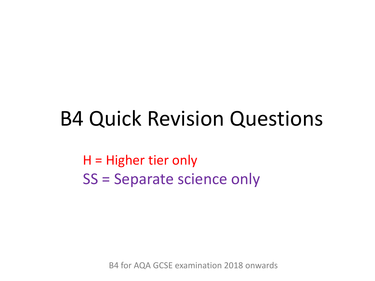### B4 Quick Revision Questions

H = Higher tier only SS = Separate science only

B4 for AQA GCSE examination 2018 onwards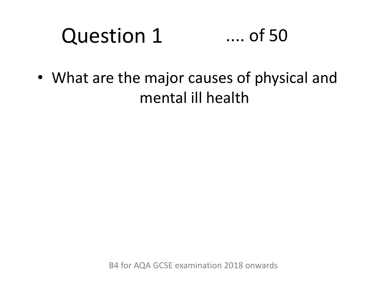#### Question 1 .... of 50

• What are the major causes of physical and mental ill health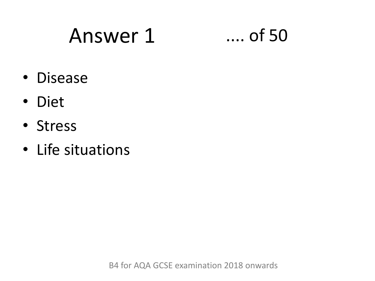### Answer 1 .... of 50

- Disease
- Diet
- Stress
- Life situations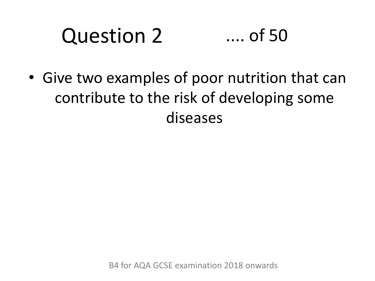#### Question 2 .... of 50

• Give two examples of poor nutrition that can contribute to the risk of developing some diseases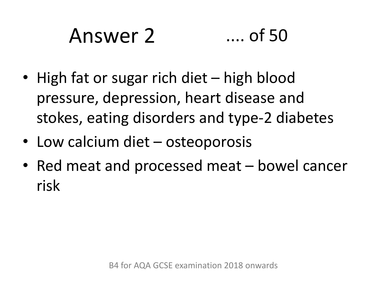## Answer 2 .... of 50

- High fat or sugar rich diet high blood pressure, depression, heart disease and stokes, eating disorders and type-2 diabetes
- Low calcium diet osteoporosis
- Red meat and processed meat bowel cancer risk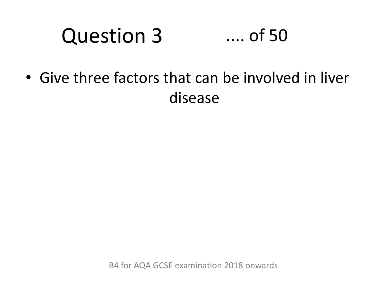#### Question 3 .... of 50

• Give three factors that can be involved in liver disease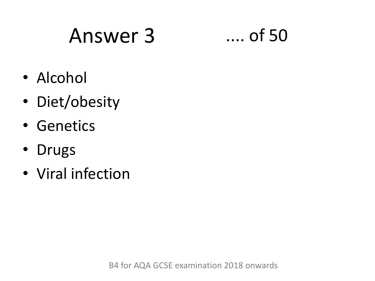## Answer 3 .... of 50



- Alcohol
- Diet/obesity
- Genetics
- Drugs
- Viral infection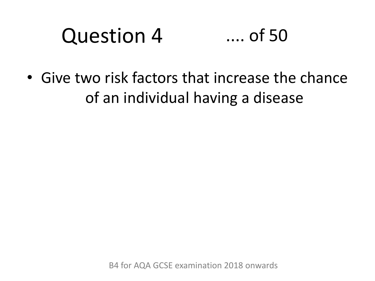#### Question 4 .... of 50

• Give two risk factors that increase the chance of an individual having a disease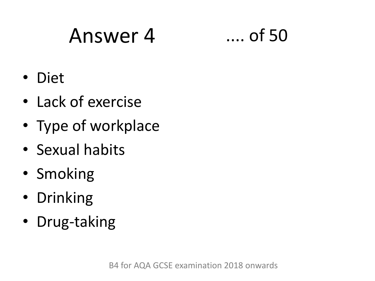### Answer 4 .... of 50

- Diet
- Lack of exercise
- Type of workplace
- Sexual habits
- Smoking
- Drinking
- Drug-taking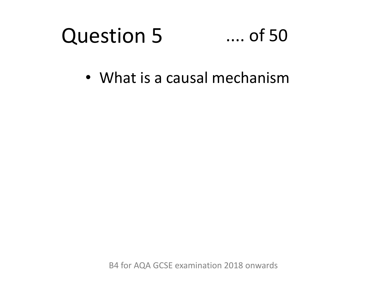#### Question 5 .... of 50

• What is a causal mechanism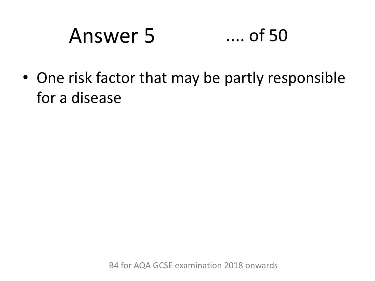## Answer 5 .... of 50

• One risk factor that may be partly responsible for a disease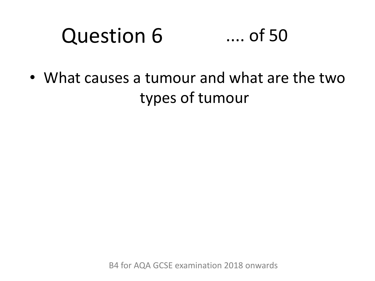#### Question 6 .... of 50

• What causes a tumour and what are the two types of tumour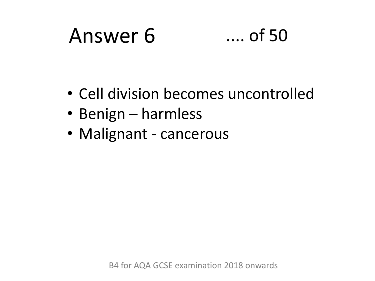### Answer 6 .... of 50

- Cell division becomes uncontrolled
- Benign harmless
- Malignant cancerous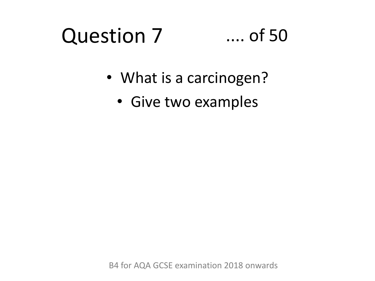### Question 7

### .... of 50

- What is a carcinogen?
	- Give two examples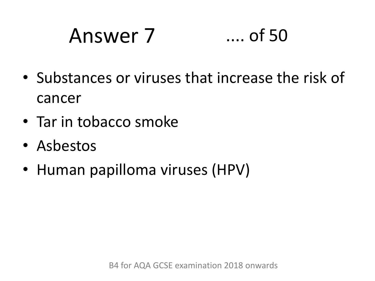## Answer 7 .... of 50

- Substances or viruses that increase the risk of cancer
- Tar in tobacco smoke
- Asbestos
- Human papilloma viruses (HPV)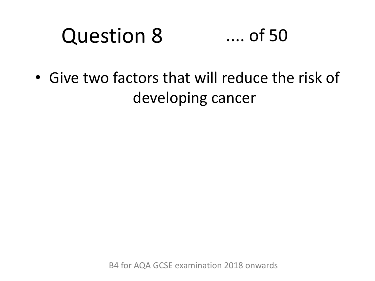#### Question 8 .... of 50

• Give two factors that will reduce the risk of developing cancer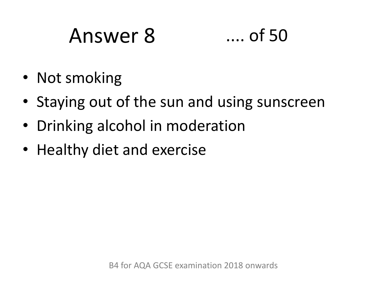### Answer 8 .... of 50



- Not smoking
- Staying out of the sun and using sunscreen
- Drinking alcohol in moderation
- Healthy diet and exercise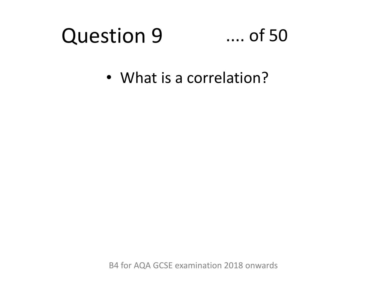#### Question 9 .... of 50

• What is a correlation?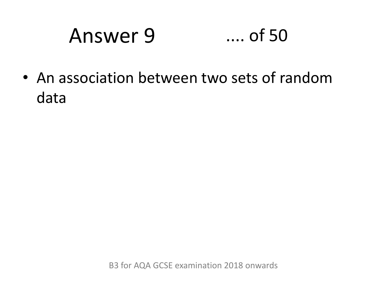## Answer 9 .... of 50

• An association between two sets of random data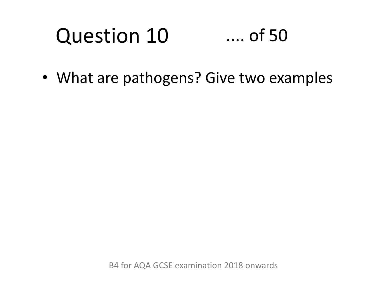### Question 10 .... of 50

• What are pathogens? Give two examples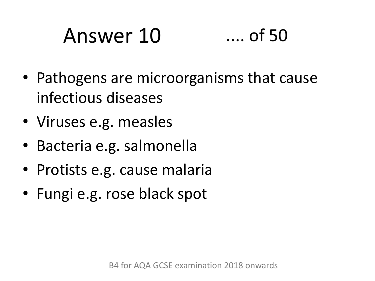# Answer 10 .... of 50

- Pathogens are microorganisms that cause infectious diseases
- Viruses e.g. measles
- Bacteria e.g. salmonella
- Protists e.g. cause malaria
- Fungi e.g. rose black spot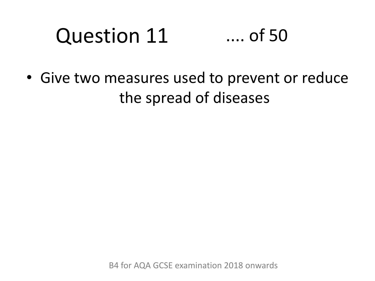### Question 11 .... of 50

• Give two measures used to prevent or reduce the spread of diseases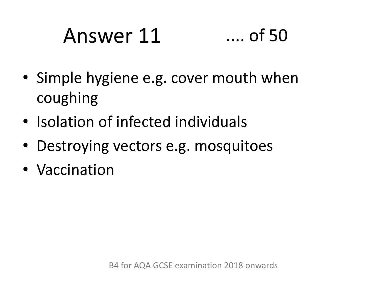## Answer 11 .... of 50

- Simple hygiene e.g. cover mouth when coughing
- Isolation of infected individuals
- Destroying vectors e.g. mosquitoes
- Vaccination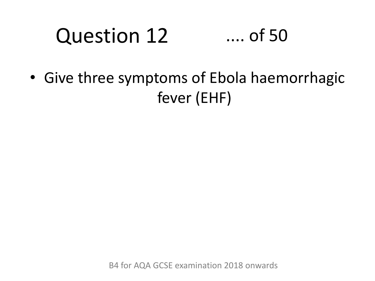### Question 12 .... of 50

• Give three symptoms of Ebola haemorrhagic fever (EHF)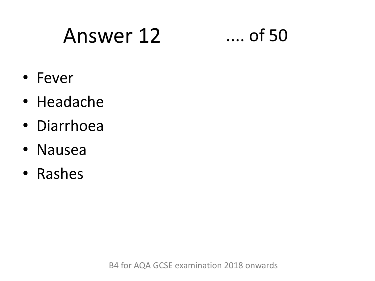## Answer 12 .... of 50

- Fever
- Headache
- Diarrhoea
- Nausea
- Rashes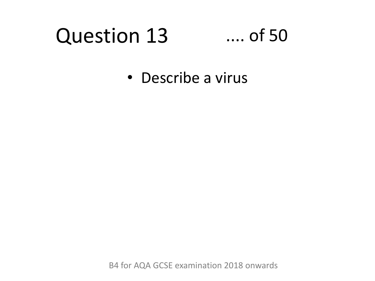#### Question 13 .... of 50

• Describe a virus

B4 for AQA GCSE examination 2018 onwards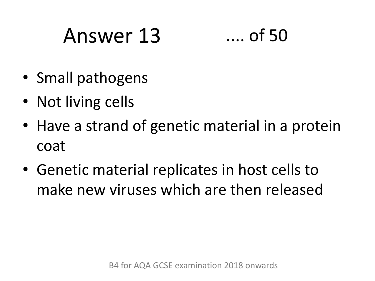## Answer 13 .... of 50

- Small pathogens
- Not living cells
- Have a strand of genetic material in a protein coat
- Genetic material replicates in host cells to make new viruses which are then released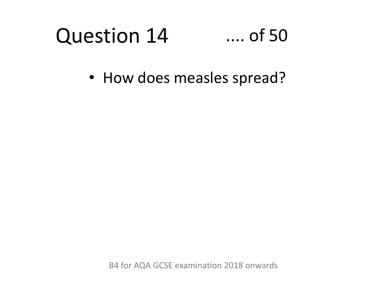#### Question 14 .... of 50

• How does measles spread?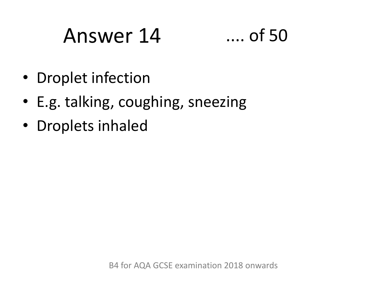### Answer 14 .... of 50

- Droplet infection
- E.g. talking, coughing, sneezing
- Droplets inhaled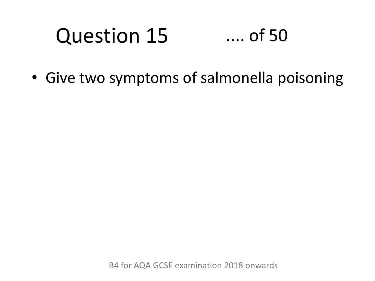### Question 15 .... of 50

• Give two symptoms of salmonella poisoning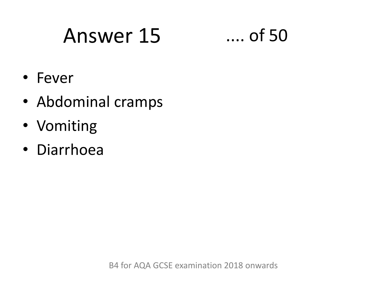### Answer 15 .... of 50

- Fever
- Abdominal cramps
- Vomiting
- Diarrhoea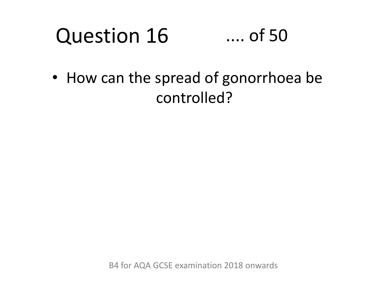#### Question 16 .... of 50

• How can the spread of gonorrhoea be controlled?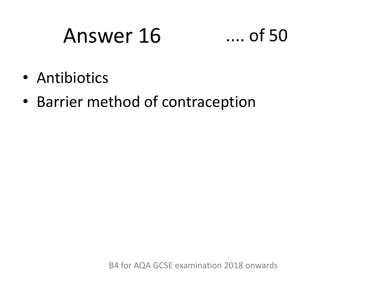### Answer 16 .... of 50



- Antibiotics
- Barrier method of contraception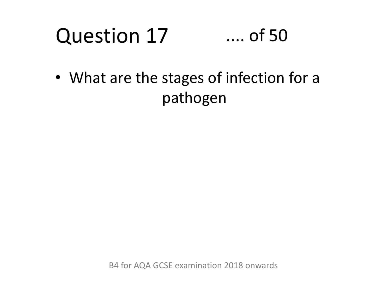### Question 17 .... of 50

• What are the stages of infection for a pathogen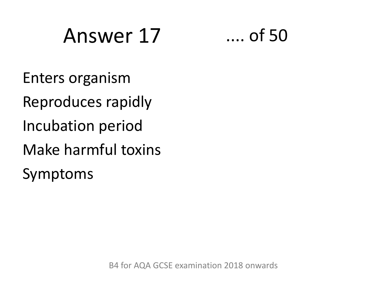### Answer 17 .... of 50



Enters organism Reproduces rapidly Incubation period Make harmful toxins Symptoms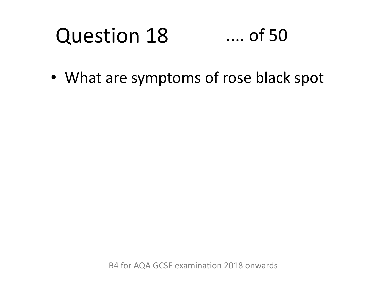#### Question 18 .... of 50

• What are symptoms of rose black spot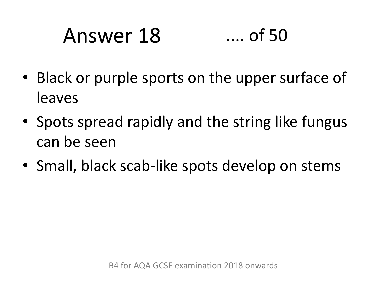# Answer 18 .... of 50

- Black or purple sports on the upper surface of leaves
- Spots spread rapidly and the string like fungus can be seen
- Small, black scab-like spots develop on stems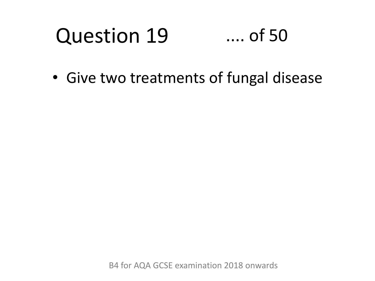#### Question 19 .... of 50

• Give two treatments of fungal disease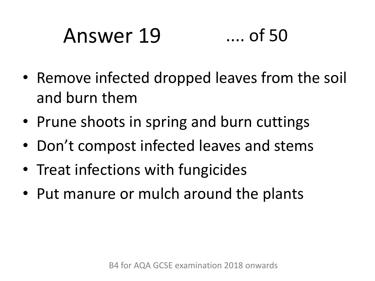# Answer 19 .... of 50

- Remove infected dropped leaves from the soil and burn them
- Prune shoots in spring and burn cuttings
- Don't compost infected leaves and stems
- Treat infections with fungicides
- Put manure or mulch around the plants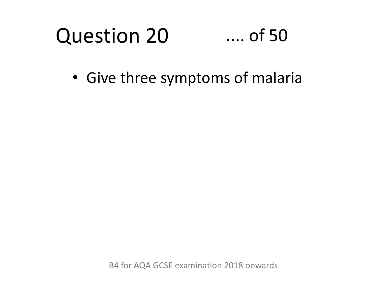#### Question 20 .... of 50

• Give three symptoms of malaria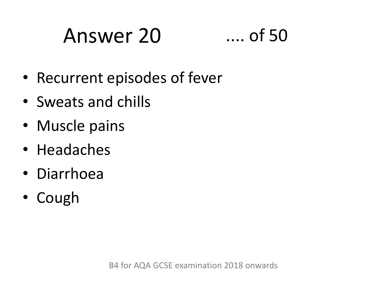### Answer 20 .... of 50



- Recurrent episodes of fever
- Sweats and chills
- Muscle pains
- Headaches
- Diarrhoea
- Cough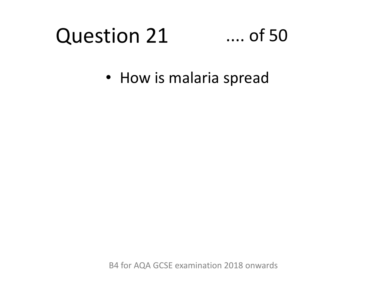### Question 21

#### .... of 50

• How is malaria spread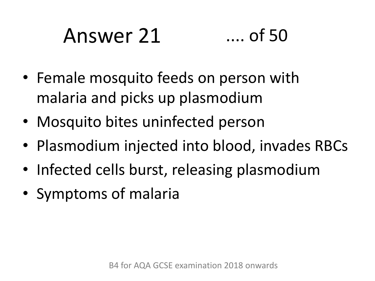# Answer 21 .... of 50

- Female mosquito feeds on person with malaria and picks up plasmodium
- Mosquito bites uninfected person
- Plasmodium injected into blood, invades RBCs
- Infected cells burst, releasing plasmodium
- Symptoms of malaria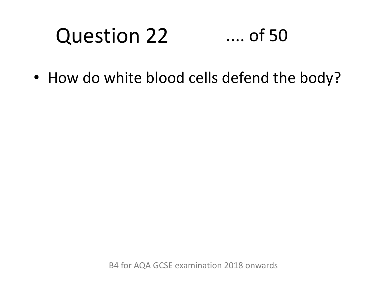#### Question 22 .... of 50

• How do white blood cells defend the body?

B4 for AQA GCSE examination 2018 onwards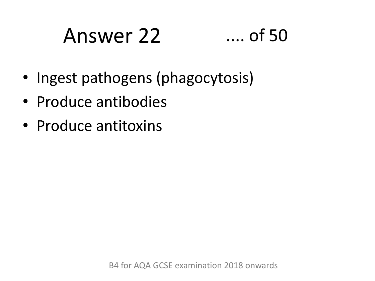# Answer 22 .... of 50

- Ingest pathogens (phagocytosis)
- Produce antibodies
- Produce antitoxins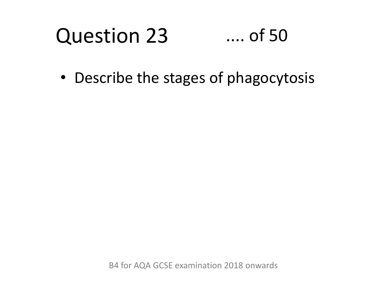#### Question 23 .... of 50

• Describe the stages of phagocytosis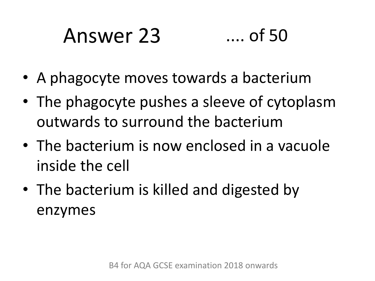# Answer 23 .... of 50

- A phagocyte moves towards a bacterium
- The phagocyte pushes a sleeve of cytoplasm outwards to surround the bacterium
- The bacterium is now enclosed in a vacuole inside the cell
- The bacterium is killed and digested by enzymes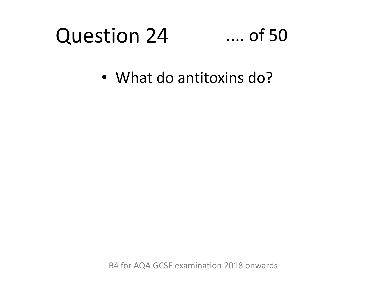### Question 24

#### .... of 50

• What do antitoxins do?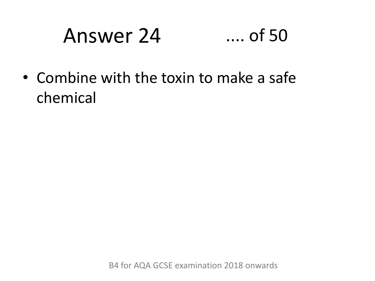# Answer 24 .... of 50

• Combine with the toxin to make a safe chemical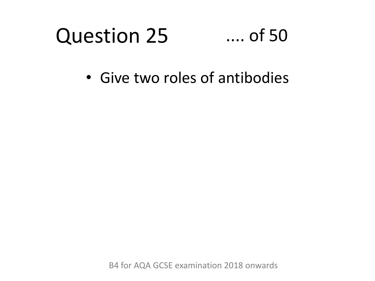#### Question 25 .... of 50

• Give two roles of antibodies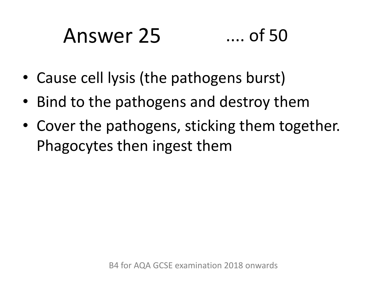# Answer 25 .... of 50

- Cause cell lysis (the pathogens burst)
- Bind to the pathogens and destroy them
- Cover the pathogens, sticking them together. Phagocytes then ingest them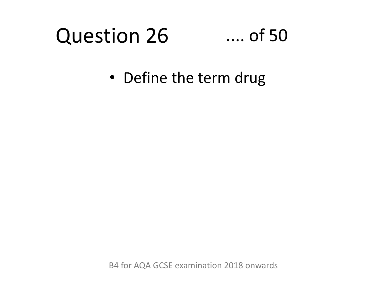#### Question 26

#### .... of 50

• Define the term drug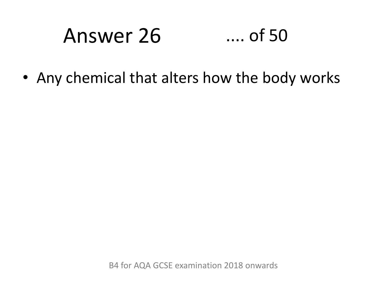# Answer 26 .... of 50

• Any chemical that alters how the body works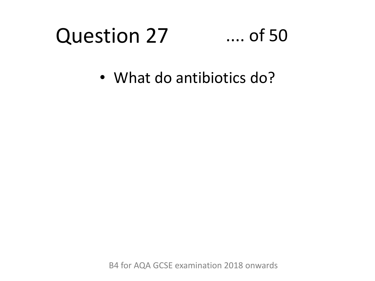### Question 27

#### .... of 50

• What do antibiotics do?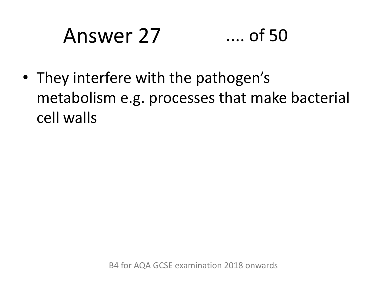# Answer 27 .... of 50

• They interfere with the pathogen's metabolism e.g. processes that make bacterial cell walls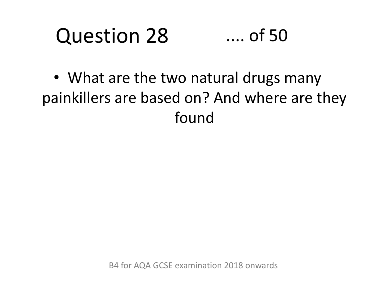#### Question 28 .... of 50

• What are the two natural drugs many painkillers are based on? And where are they found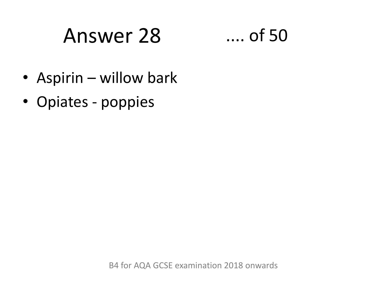### Answer 28 .... of 50

- Aspirin willow bark
- Opiates poppies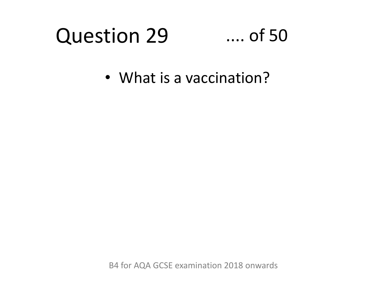### Question 29

#### .... of 50

• What is a vaccination?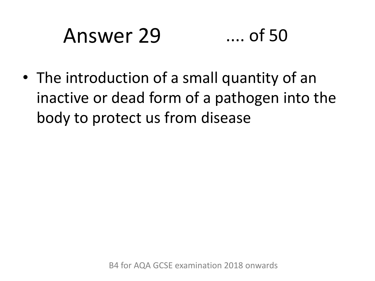### Answer 29 .... of 50

• The introduction of a small quantity of an inactive or dead form of a pathogen into the body to protect us from disease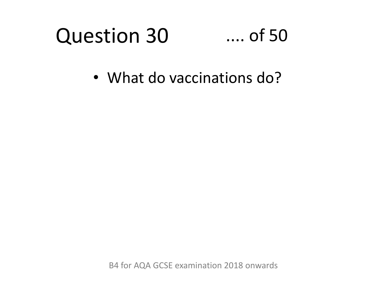#### Question 30 .... of 50

• What do vaccinations do?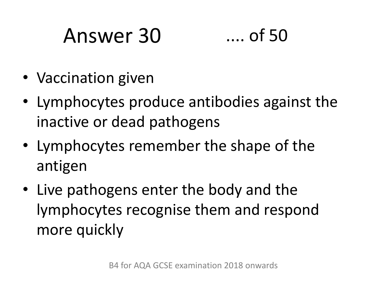# Answer 30 .... of 50



- Vaccination given
- Lymphocytes produce antibodies against the inactive or dead pathogens
- Lymphocytes remember the shape of the antigen
- Live pathogens enter the body and the lymphocytes recognise them and respond more quickly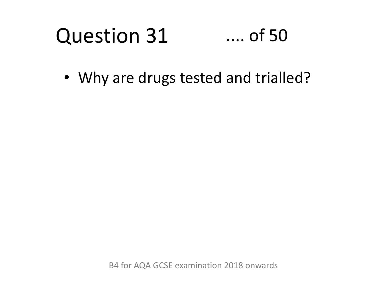#### Question 31 .... of 50

• Why are drugs tested and trialled?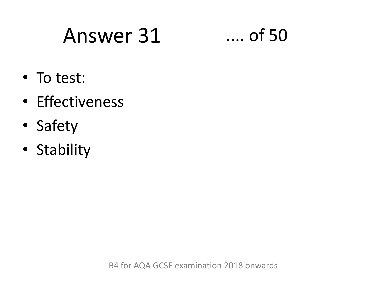### Answer 31 .... of 50

- To test:
- Effectiveness
- Safety
- Stability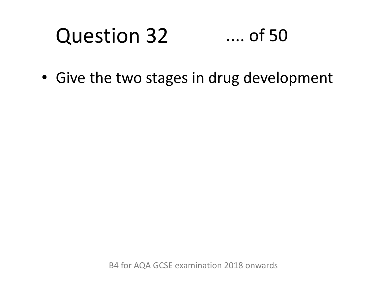#### Question 32 .... of 50

• Give the two stages in drug development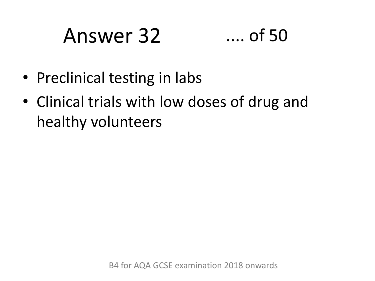### Answer 32 .... of 50



- Preclinical testing in labs
- Clinical trials with low doses of drug and healthy volunteers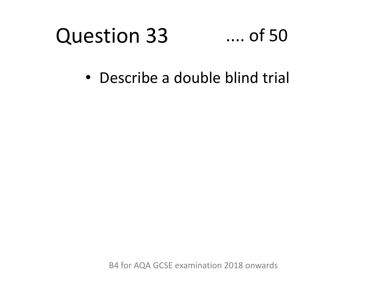#### Question 33 .... of 50

• Describe a double blind trial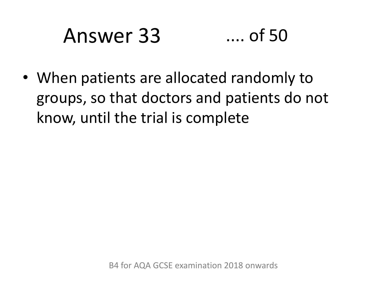### Answer 33 .... of 50

• When patients are allocated randomly to groups, so that doctors and patients do not know, until the trial is complete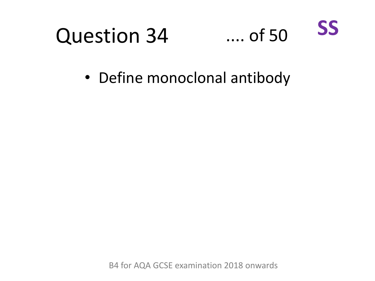



• Define monoclonal antibody

B4 for AQA GCSE examination 2018 onwards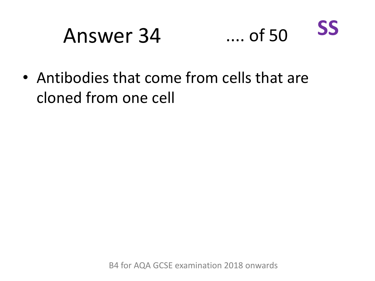### Answer 34 .... of 50



• Antibodies that come from cells that are cloned from one cell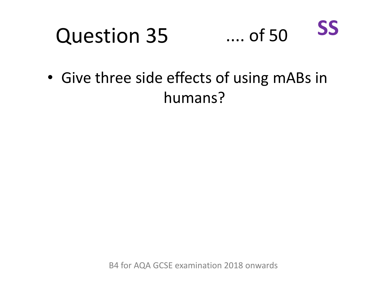#### Question 35 .... of 50 **SS**

• Give three side effects of using mABs in humans?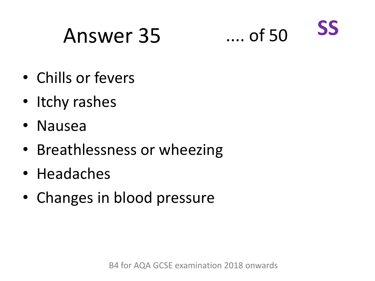### Answer 35 .... of 50



- Chills or fevers
- Itchy rashes
- Nausea
- Breathlessness or wheezing
- Headaches
- Changes in blood pressure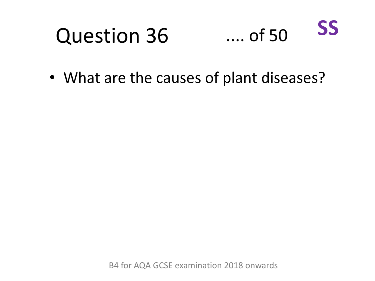#### Question 36 .... of 50 **SS**

• What are the causes of plant diseases?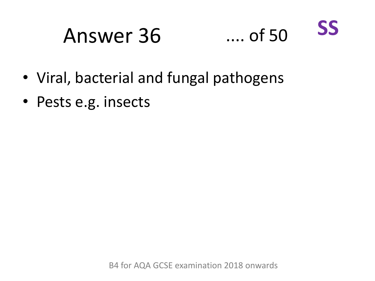# Answer 36 .... of 50



- Viral, bacterial and fungal pathogens
- Pests e.g. insects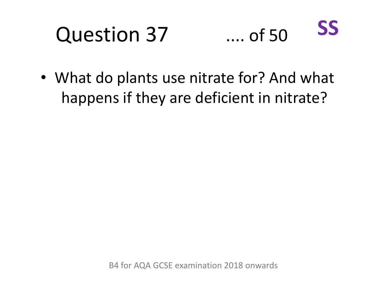# Question 37



• What do plants use nitrate for? And what happens if they are deficient in nitrate?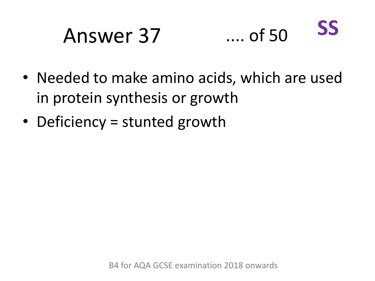### Answer 37 .... of 50 **SS**

- Needed to make amino acids, which are used in protein synthesis or growth
- Deficiency = stunted growth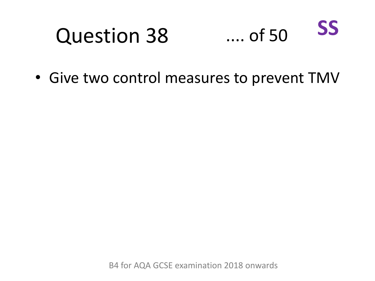### Question 38 .... of 50

• Give two control measures to prevent TMV

**SS**

B4 for AQA GCSE examination 2018 onwards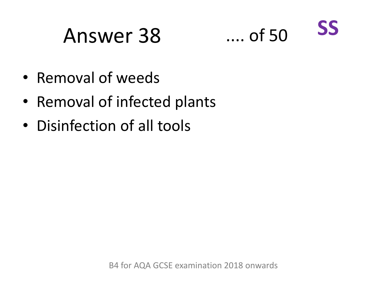## Answer 38 .... of 50



- Removal of weeds
- Removal of infected plants
- Disinfection of all tools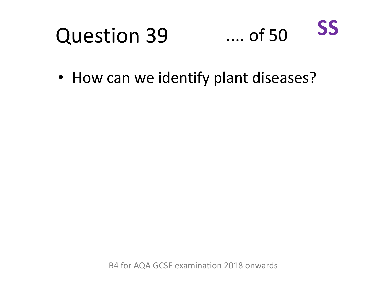#### Question 39 .... of 50 **SS**

• How can we identify plant diseases?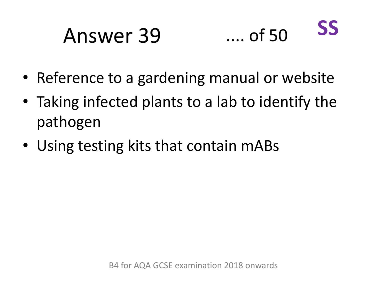## Answer 39 .... of 50



- Reference to a gardening manual or website
- Taking infected plants to a lab to identify the pathogen
- Using testing kits that contain mABs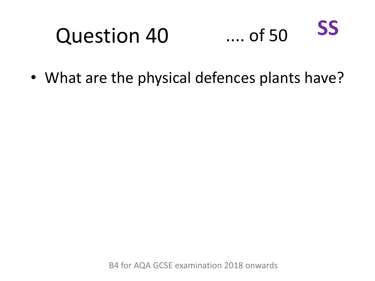#### Question 40 .... of 50 **SS**

• What are the physical defences plants have?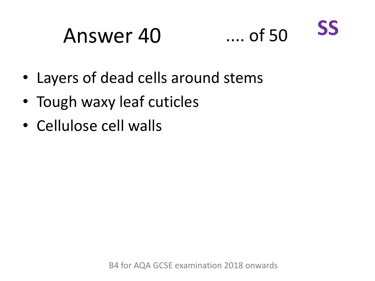## Answer 40 .... of 50



- Layers of dead cells around stems
- Tough waxy leaf cuticles
- Cellulose cell walls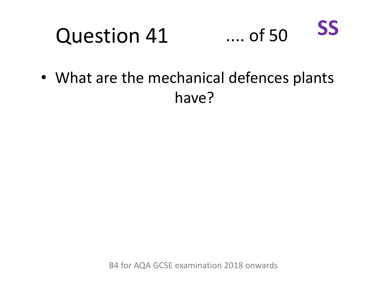#### Question 41 .... of 50 **SS**

• What are the mechanical defences plants have?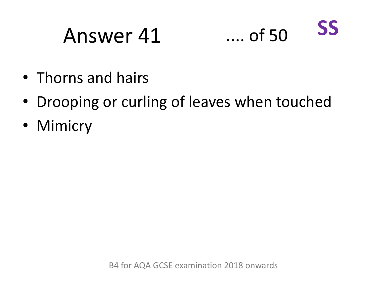### Answer 41 .... of 50 **SS**

- Thorns and hairs
- Drooping or curling of leaves when touched
- Mimicry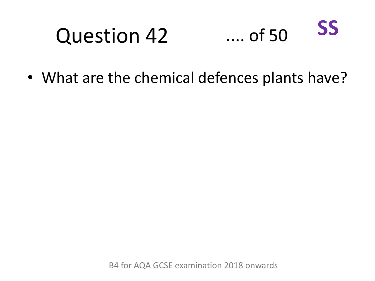#### Question 42 .... of 50 **SS**

• What are the chemical defences plants have?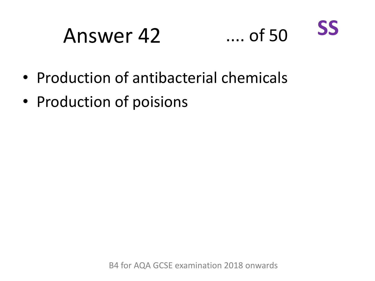## Answer 42 .... of 50



- Production of antibacterial chemicals
- Production of poisions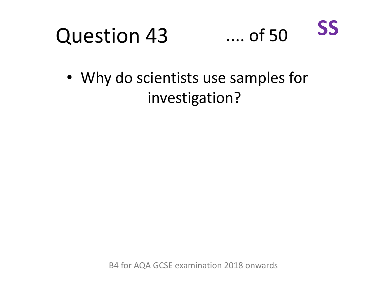

• Why do scientists use samples for investigation?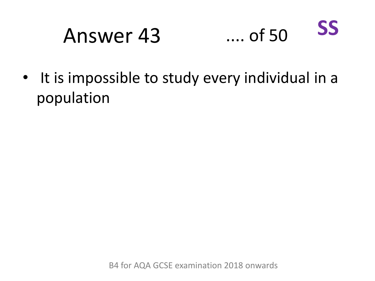### Answer 43 .... of 50 **SS**

• It is impossible to study every individual in a population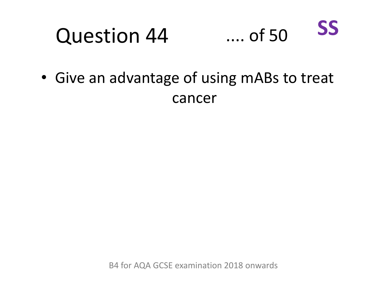#### Question 44 .... of 50 **SS**

• Give an advantage of using mABs to treat cancer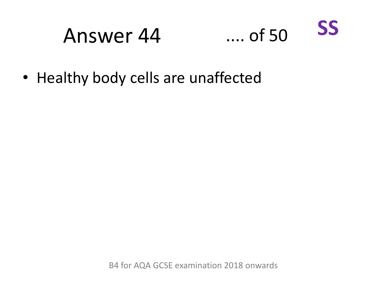## Answer 44 .... of 50



• Healthy body cells are unaffected

B4 for AQA GCSE examination 2018 onwards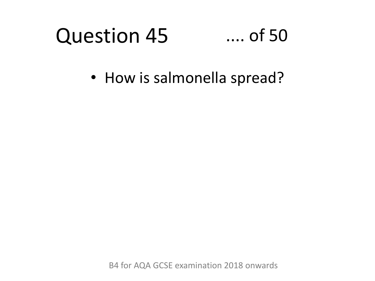### Question 45 .... of 50

• How is salmonella spread?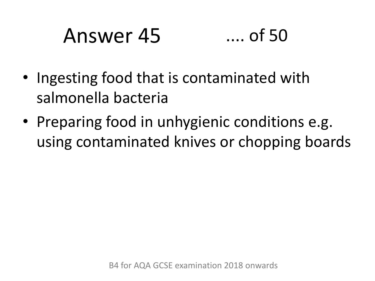# Answer 45 .... of 50

- Ingesting food that is contaminated with salmonella bacteria
- Preparing food in unhygienic conditions e.g. using contaminated knives or chopping boards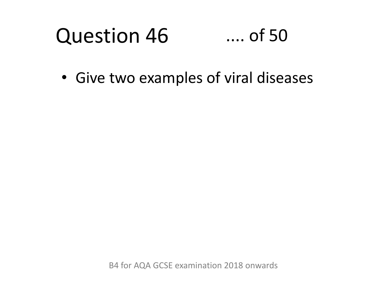### Question 46 .... of 50

• Give two examples of viral diseases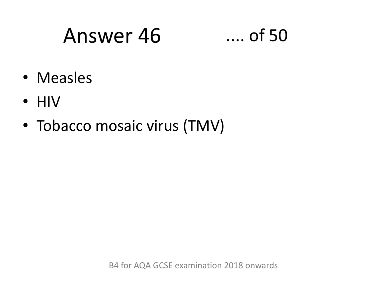## Answer 46 .... of 50

- Measles
- HIV
- Tobacco mosaic virus (TMV)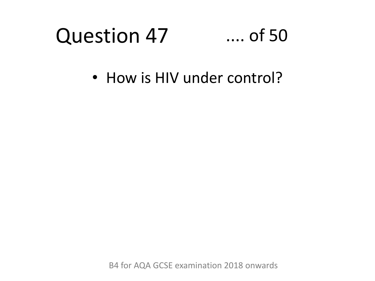### Question 47 .... of 50

• How is HIV under control?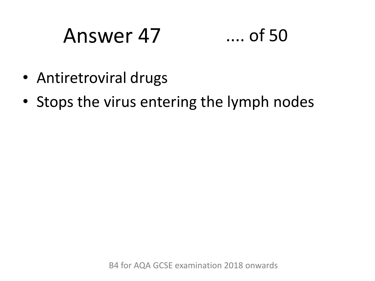## Answer 47 .... of 50



- Antiretroviral drugs
- Stops the virus entering the lymph nodes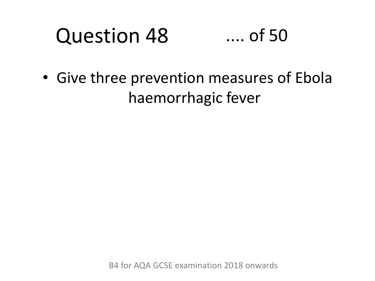### Question 48 .... of 50

• Give three prevention measures of Ebola haemorrhagic fever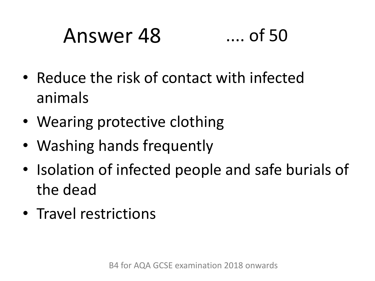# Answer 48 .... of 50

- Reduce the risk of contact with infected animals
- Wearing protective clothing
- Washing hands frequently
- Isolation of infected people and safe burials of the dead
- Travel restrictions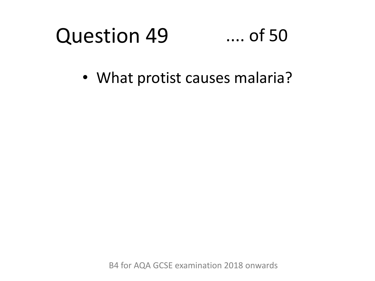### Question 49 .... of 50

• What protist causes malaria?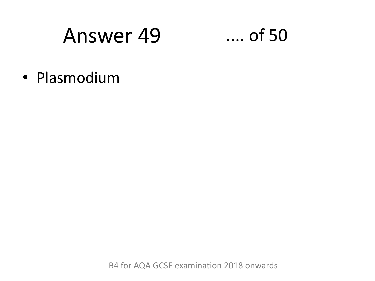## Answer 49 .... of 50

• Plasmodium

B4 for AQA GCSE examination 2018 onwards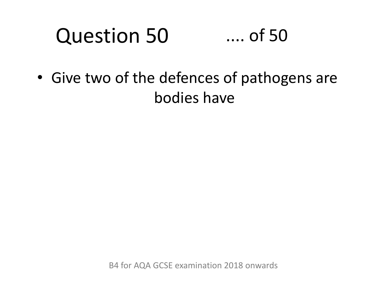### Question 50 .... of 50

• Give two of the defences of pathogens are bodies have